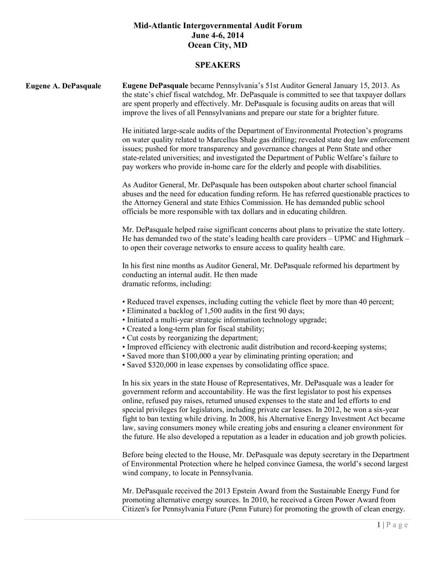#### **SPEAKERS**

| <b>Eugene A. DePasquale</b> | Eugene DePasquale became Pennsylvania's 51st Auditor General January 15, 2013. As<br>the state's chief fiscal watchdog, Mr. DePasquale is committed to see that taxpayer dollars<br>are spent properly and effectively. Mr. DePasquale is focusing audits on areas that will<br>improve the lives of all Pennsylvanians and prepare our state for a brighter future.                                                                                                                                                                                                                                                                                                 |
|-----------------------------|----------------------------------------------------------------------------------------------------------------------------------------------------------------------------------------------------------------------------------------------------------------------------------------------------------------------------------------------------------------------------------------------------------------------------------------------------------------------------------------------------------------------------------------------------------------------------------------------------------------------------------------------------------------------|
|                             | He initiated large-scale audits of the Department of Environmental Protection's programs<br>on water quality related to Marcellus Shale gas drilling; revealed state dog law enforcement<br>issues; pushed for more transparency and governance changes at Penn State and other<br>state-related universities; and investigated the Department of Public Welfare's failure to<br>pay workers who provide in-home care for the elderly and people with disabilities.                                                                                                                                                                                                  |
|                             | As Auditor General, Mr. DePasquale has been outspoken about charter school financial<br>abuses and the need for education funding reform. He has referred questionable practices to<br>the Attorney General and state Ethics Commission. He has demanded public school<br>officials be more responsible with tax dollars and in educating children.                                                                                                                                                                                                                                                                                                                  |
|                             | Mr. DePasquale helped raise significant concerns about plans to privatize the state lottery.<br>He has demanded two of the state's leading health care providers – UPMC and Highmark –<br>to open their coverage networks to ensure access to quality health care.                                                                                                                                                                                                                                                                                                                                                                                                   |
|                             | In his first nine months as Auditor General, Mr. DePasquale reformed his department by<br>conducting an internal audit. He then made<br>dramatic reforms, including:                                                                                                                                                                                                                                                                                                                                                                                                                                                                                                 |
|                             | • Reduced travel expenses, including cutting the vehicle fleet by more than 40 percent;<br>• Eliminated a backlog of 1,500 audits in the first 90 days;<br>• Initiated a multi-year strategic information technology upgrade;<br>• Created a long-term plan for fiscal stability;<br>• Cut costs by reorganizing the department;<br>• Improved efficiency with electronic audit distribution and record-keeping systems;<br>• Saved more than \$100,000 a year by eliminating printing operation; and<br>• Saved \$320,000 in lease expenses by consolidating office space.                                                                                          |
|                             | In his six years in the state House of Representatives, Mr. DePasquale was a leader for<br>government reform and accountability. He was the first legislator to post his expenses<br>online, refused pay raises, returned unused expenses to the state and led efforts to end<br>special privileges for legislators, including private car leases. In 2012, he won a six-year<br>fight to ban texting while driving. In 2008, his Alternative Energy Investment Act became<br>law, saving consumers money while creating jobs and ensuring a cleaner environment for<br>the future. He also developed a reputation as a leader in education and job growth policies. |
|                             | Before being elected to the House, Mr. DePasquale was deputy secretary in the Department<br>of Environmental Protection where he helped convince Gamesa, the world's second largest<br>wind company, to locate in Pennsylvania.                                                                                                                                                                                                                                                                                                                                                                                                                                      |
|                             | Mr. DePasquale received the 2013 Epstein Award from the Sustainable Energy Fund for<br>promoting alternative energy sources. In 2010, he received a Green Power Award from                                                                                                                                                                                                                                                                                                                                                                                                                                                                                           |

Citizen's for Pennsylvania Future (Penn Future) for promoting the growth of clean energy.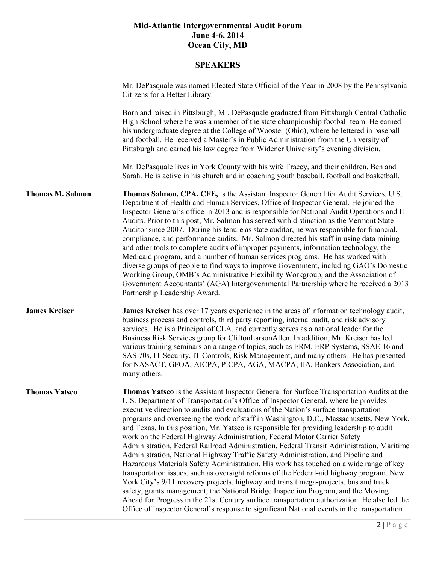|                         | Mr. DePasquale was named Elected State Official of the Year in 2008 by the Pennsylvania<br>Citizens for a Better Library.                                                                                                                                                                                                                                                                                                                                                                                                                                                                                                                                                                                                                                                                                                                                                                                                                                                                                                                                                                                                                                                                                                                                                                     |
|-------------------------|-----------------------------------------------------------------------------------------------------------------------------------------------------------------------------------------------------------------------------------------------------------------------------------------------------------------------------------------------------------------------------------------------------------------------------------------------------------------------------------------------------------------------------------------------------------------------------------------------------------------------------------------------------------------------------------------------------------------------------------------------------------------------------------------------------------------------------------------------------------------------------------------------------------------------------------------------------------------------------------------------------------------------------------------------------------------------------------------------------------------------------------------------------------------------------------------------------------------------------------------------------------------------------------------------|
|                         | Born and raised in Pittsburgh, Mr. DePasquale graduated from Pittsburgh Central Catholic<br>High School where he was a member of the state championship football team. He earned<br>his undergraduate degree at the College of Wooster (Ohio), where he lettered in baseball<br>and football. He received a Master's in Public Administration from the University of<br>Pittsburgh and earned his law degree from Widener University's evening division.                                                                                                                                                                                                                                                                                                                                                                                                                                                                                                                                                                                                                                                                                                                                                                                                                                      |
|                         | Mr. DePasquale lives in York County with his wife Tracey, and their children, Ben and<br>Sarah. He is active in his church and in coaching youth baseball, football and basketball.                                                                                                                                                                                                                                                                                                                                                                                                                                                                                                                                                                                                                                                                                                                                                                                                                                                                                                                                                                                                                                                                                                           |
| <b>Thomas M. Salmon</b> | Thomas Salmon, CPA, CFE, is the Assistant Inspector General for Audit Services, U.S.<br>Department of Health and Human Services, Office of Inspector General. He joined the<br>Inspector General's office in 2013 and is responsible for National Audit Operations and IT<br>Audits. Prior to this post, Mr. Salmon has served with distinction as the Vermont State<br>Auditor since 2007. During his tenure as state auditor, he was responsible for financial,<br>compliance, and performance audits. Mr. Salmon directed his staff in using data mining<br>and other tools to complete audits of improper payments, information technology, the<br>Medicaid program, and a number of human services programs. He has worked with<br>diverse groups of people to find ways to improve Government, including GAO's Domestic<br>Working Group, OMB's Administrative Flexibility Workgroup, and the Association of<br>Government Accountants' (AGA) Intergovernmental Partnership where he received a 2013<br>Partnership Leadership Award.                                                                                                                                                                                                                                                   |
| <b>James Kreiser</b>    | <b>James Kreiser</b> has over 17 years experience in the areas of information technology audit,<br>business process and controls, third party reporting, internal audit, and risk advisory<br>services. He is a Principal of CLA, and currently serves as a national leader for the<br>Business Risk Services group for CliftonLarsonAllen. In addition, Mr. Kreiser has led<br>various training seminars on a range of topics, such as ERM, ERP Systems, SSAE 16 and<br>SAS 70s, IT Security, IT Controls, Risk Management, and many others. He has presented<br>for NASACT, GFOA, AICPA, PICPA, AGA, MACPA, IIA, Bankers Association, and<br>many others.                                                                                                                                                                                                                                                                                                                                                                                                                                                                                                                                                                                                                                   |
| <b>Thomas Yatsco</b>    | Thomas Yatsco is the Assistant Inspector General for Surface Transportation Audits at the<br>U.S. Department of Transportation's Office of Inspector General, where he provides<br>executive direction to audits and evaluations of the Nation's surface transportation<br>programs and overseeing the work of staff in Washington, D.C., Massachusetts, New York,<br>and Texas. In this position, Mr. Yatsco is responsible for providing leadership to audit<br>work on the Federal Highway Administration, Federal Motor Carrier Safety<br>Administration, Federal Railroad Administration, Federal Transit Administration, Maritime<br>Administration, National Highway Traffic Safety Administration, and Pipeline and<br>Hazardous Materials Safety Administration. His work has touched on a wide range of key<br>transportation issues, such as oversight reforms of the Federal-aid highway program, New<br>York City's 9/11 recovery projects, highway and transit mega-projects, bus and truck<br>safety, grants management, the National Bridge Inspection Program, and the Moving<br>Ahead for Progress in the 21st Century surface transportation authorization. He also led the<br>Office of Inspector General's response to significant National events in the transportation |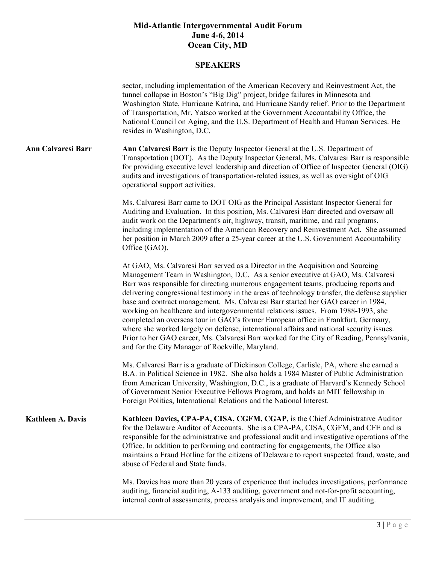|                           | sector, including implementation of the American Recovery and Reinvestment Act, the<br>tunnel collapse in Boston's "Big Dig" project, bridge failures in Minnesota and<br>Washington State, Hurricane Katrina, and Hurricane Sandy relief. Prior to the Department<br>of Transportation, Mr. Yatsco worked at the Government Accountability Office, the<br>National Council on Aging, and the U.S. Department of Health and Human Services. He<br>resides in Washington, D.C.                                                                                                                                                                                                                                                                                                                                                                                        |
|---------------------------|----------------------------------------------------------------------------------------------------------------------------------------------------------------------------------------------------------------------------------------------------------------------------------------------------------------------------------------------------------------------------------------------------------------------------------------------------------------------------------------------------------------------------------------------------------------------------------------------------------------------------------------------------------------------------------------------------------------------------------------------------------------------------------------------------------------------------------------------------------------------|
| <b>Ann Calvaresi Barr</b> | Ann Calvaresi Barr is the Deputy Inspector General at the U.S. Department of<br>Transportation (DOT). As the Deputy Inspector General, Ms. Calvaresi Barr is responsible<br>for providing executive level leadership and direction of Office of Inspector General (OIG)<br>audits and investigations of transportation-related issues, as well as oversight of OIG<br>operational support activities.                                                                                                                                                                                                                                                                                                                                                                                                                                                                |
|                           | Ms. Calvaresi Barr came to DOT OIG as the Principal Assistant Inspector General for<br>Auditing and Evaluation. In this position, Ms. Calvaresi Barr directed and oversaw all<br>audit work on the Department's air, highway, transit, maritime, and rail programs,<br>including implementation of the American Recovery and Reinvestment Act. She assumed<br>her position in March 2009 after a 25-year career at the U.S. Government Accountability<br>Office (GAO).                                                                                                                                                                                                                                                                                                                                                                                               |
|                           | At GAO, Ms. Calvaresi Barr served as a Director in the Acquisition and Sourcing<br>Management Team in Washington, D.C. As a senior executive at GAO, Ms. Calvaresi<br>Barr was responsible for directing numerous engagement teams, producing reports and<br>delivering congressional testimony in the areas of technology transfer, the defense supplier<br>base and contract management. Ms. Calvaresi Barr started her GAO career in 1984,<br>working on healthcare and intergovernmental relations issues. From 1988-1993, she<br>completed an overseas tour in GAO's former European office in Frankfurt, Germany,<br>where she worked largely on defense, international affairs and national security issues.<br>Prior to her GAO career, Ms. Calvaresi Barr worked for the City of Reading, Pennsylvania,<br>and for the City Manager of Rockville, Maryland. |
|                           | Ms. Calvaresi Barr is a graduate of Dickinson College, Carlisle, PA, where she earned a<br>B.A. in Political Science in 1982. She also holds a 1984 Master of Public Administration<br>from American University, Washington, D.C., is a graduate of Harvard's Kennedy School<br>of Government Senior Executive Fellows Program, and holds an MIT fellowship in<br>Foreign Politics, International Relations and the National Interest.                                                                                                                                                                                                                                                                                                                                                                                                                               |
| <b>Kathleen A. Davis</b>  | Kathleen Davies, CPA-PA, CISA, CGFM, CGAP, is the Chief Administrative Auditor<br>for the Delaware Auditor of Accounts. She is a CPA-PA, CISA, CGFM, and CFE and is<br>responsible for the administrative and professional audit and investigative operations of the<br>Office. In addition to performing and contracting for engagements, the Office also<br>maintains a Fraud Hotline for the citizens of Delaware to report suspected fraud, waste, and<br>abuse of Federal and State funds.                                                                                                                                                                                                                                                                                                                                                                      |
|                           | Ms. Davies has more than 20 years of experience that includes investigations, performance<br>auditing, financial auditing, A-133 auditing, government and not-for-profit accounting,<br>internal control assessments, process analysis and improvement, and IT auditing.                                                                                                                                                                                                                                                                                                                                                                                                                                                                                                                                                                                             |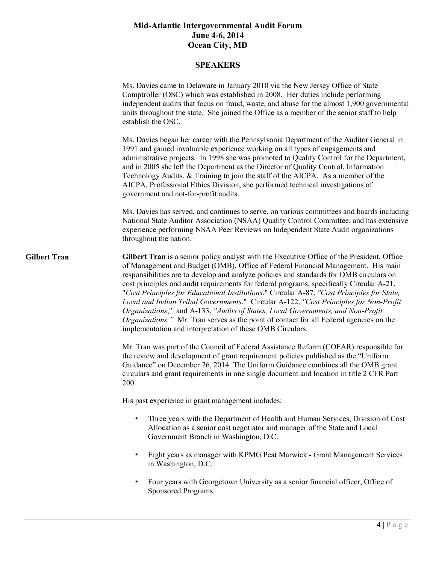|                     | Ms. Davies came to Delaware in January 2010 via the New Jersey Office of State<br>Comptroller (OSC) which was established in 2008. Her duties include performing<br>independent audits that focus on fraud, waste, and abuse for the almost 1,900 governmental<br>units throughout the state. She joined the Office as a member of the senior staff to help<br>establish the OSC.                                                                                                                                                                                                                                                                                                                                                                                                                       |
|---------------------|---------------------------------------------------------------------------------------------------------------------------------------------------------------------------------------------------------------------------------------------------------------------------------------------------------------------------------------------------------------------------------------------------------------------------------------------------------------------------------------------------------------------------------------------------------------------------------------------------------------------------------------------------------------------------------------------------------------------------------------------------------------------------------------------------------|
|                     | Ms. Davies began her career with the Pennsylvania Department of the Auditor General in<br>1991 and gained invaluable experience working on all types of engagements and<br>administrative projects. In 1998 she was promoted to Quality Control for the Department,<br>and in 2005 she left the Department as the Director of Quality Control, Information<br>Technology Audits, & Training to join the staff of the AICPA. As a member of the<br>AICPA, Professional Ethics Division, she performed technical investigations of<br>government and not-for-profit audits.                                                                                                                                                                                                                               |
|                     | Ms. Davies has served, and continues to serve, on various committees and boards including<br>National State Auditor Association (NSAA) Quality Control Committee, and has extensive<br>experience performing NSAA Peer Reviews on Independent State Audit organizations<br>throughout the nation.                                                                                                                                                                                                                                                                                                                                                                                                                                                                                                       |
| <b>Gilbert Tran</b> | Gilbert Tran is a senior policy analyst with the Executive Office of the President, Office<br>of Management and Budget (OMB), Office of Federal Financial Management. His main<br>responsibilities are to develop and analyze policies and standards for OMB circulars on<br>cost principles and audit requirements for federal programs, specifically Circular A-21,<br>"Cost Principles for Educational Institutions," Circular A-87, "Cost Principles for State,<br>Local and Indian Tribal Governments," Circular A-122, "Cost Principles for Non-Profit<br>Organizations," and A-133, "Audits of States, Local Governments, and Non-Profit<br>Organizations." Mr. Tran serves as the point of contact for all Federal agencies on the<br>implementation and interpretation of these OMB Circulars. |
|                     | Mr. Tran was part of the Council of Federal Assistance Reform (COFAR) responsible for<br>the review and development of grant requirement policies published as the "Uniform<br>Guidance" on December 26, 2014. The Uniform Guidance combines all the OMB grant<br>circulars and grant requirements in one single document and location in title 2 CFR Part<br>200.                                                                                                                                                                                                                                                                                                                                                                                                                                      |
|                     | His past experience in grant management includes:                                                                                                                                                                                                                                                                                                                                                                                                                                                                                                                                                                                                                                                                                                                                                       |
|                     | Three years with the Department of Health and Human Services, Division of Cost<br>Allocation as a senior cost negotiator and manager of the State and Local<br>Government Branch in Washington, D.C.                                                                                                                                                                                                                                                                                                                                                                                                                                                                                                                                                                                                    |
|                     | Eight years as manager with KPMG Peat Marwick - Grant Management Services<br>$\bullet$<br>in Washington, D.C.                                                                                                                                                                                                                                                                                                                                                                                                                                                                                                                                                                                                                                                                                           |
|                     | Four years with Georgetown University as a senior financial officer, Office of<br>$\bullet$<br>Sponsored Programs.                                                                                                                                                                                                                                                                                                                                                                                                                                                                                                                                                                                                                                                                                      |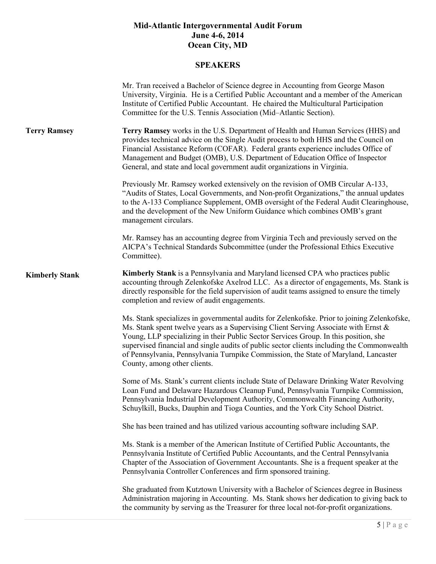|                       | Mr. Tran received a Bachelor of Science degree in Accounting from George Mason<br>University, Virginia. He is a Certified Public Accountant and a member of the American<br>Institute of Certified Public Accountant. He chaired the Multicultural Participation<br>Committee for the U.S. Tennis Association (Mid-Atlantic Section).                                                                                                                                                           |
|-----------------------|-------------------------------------------------------------------------------------------------------------------------------------------------------------------------------------------------------------------------------------------------------------------------------------------------------------------------------------------------------------------------------------------------------------------------------------------------------------------------------------------------|
| <b>Terry Ramsey</b>   | Terry Ramsey works in the U.S. Department of Health and Human Services (HHS) and<br>provides technical advice on the Single Audit process to both HHS and the Council on<br>Financial Assistance Reform (COFAR). Federal grants experience includes Office of<br>Management and Budget (OMB), U.S. Department of Education Office of Inspector<br>General, and state and local government audit organizations in Virginia.                                                                      |
|                       | Previously Mr. Ramsey worked extensively on the revision of OMB Circular A-133,<br>"Audits of States, Local Governments, and Non-profit Organizations," the annual updates<br>to the A-133 Compliance Supplement, OMB oversight of the Federal Audit Clearinghouse,<br>and the development of the New Uniform Guidance which combines OMB's grant<br>management circulars.                                                                                                                      |
|                       | Mr. Ramsey has an accounting degree from Virginia Tech and previously served on the<br>AICPA's Technical Standards Subcommittee (under the Professional Ethics Executive<br>Committee).                                                                                                                                                                                                                                                                                                         |
| <b>Kimberly Stank</b> | <b>Kimberly Stank</b> is a Pennsylvania and Maryland licensed CPA who practices public<br>accounting through Zelenkofske Axelrod LLC. As a director of engagements, Ms. Stank is<br>directly responsible for the field supervision of audit teams assigned to ensure the timely<br>completion and review of audit engagements.                                                                                                                                                                  |
|                       | Ms. Stank specializes in governmental audits for Zelenkofske. Prior to joining Zelenkofske,<br>Ms. Stank spent twelve years as a Supervising Client Serving Associate with Ernst &<br>Young, LLP specializing in their Public Sector Services Group. In this position, she<br>supervised financial and single audits of public sector clients including the Commonwealth<br>of Pennsylvania, Pennsylvania Turnpike Commission, the State of Maryland, Lancaster<br>County, among other clients. |
|                       | Some of Ms. Stank's current clients include State of Delaware Drinking Water Revolving<br>Loan Fund and Delaware Hazardous Cleanup Fund, Pennsylvania Turnpike Commission,<br>Pennsylvania Industrial Development Authority, Commonwealth Financing Authority,<br>Schuylkill, Bucks, Dauphin and Tioga Counties, and the York City School District.                                                                                                                                             |
|                       | She has been trained and has utilized various accounting software including SAP.                                                                                                                                                                                                                                                                                                                                                                                                                |
|                       | Ms. Stank is a member of the American Institute of Certified Public Accountants, the<br>Pennsylvania Institute of Certified Public Accountants, and the Central Pennsylvania<br>Chapter of the Association of Government Accountants. She is a frequent speaker at the<br>Pennsylvania Controller Conferences and firm sponsored training.                                                                                                                                                      |
|                       | She graduated from Kutztown University with a Bachelor of Sciences degree in Business<br>Administration majoring in Accounting. Ms. Stank shows her dedication to giving back to<br>the community by serving as the Treasurer for three local not-for-profit organizations.                                                                                                                                                                                                                     |